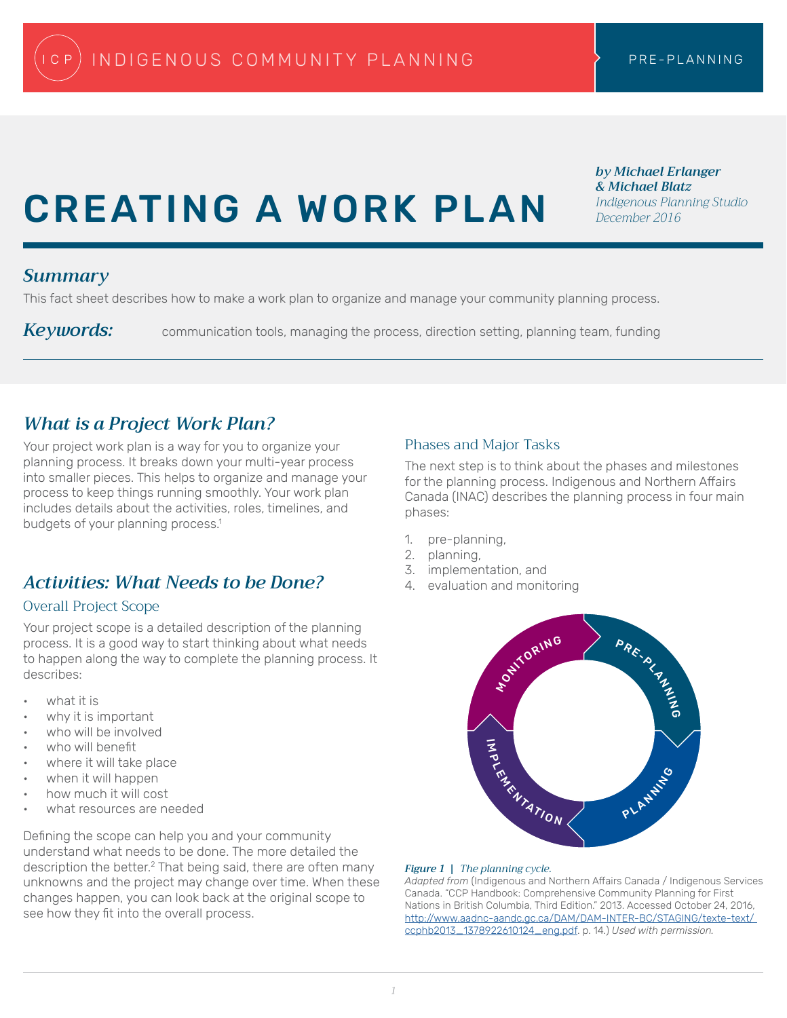# CREATING A WORK PLAN

*by Michael Erlanger & Michael Blatz Indigenous Planning Studio December 2016*

#### *Summary*

This fact sheet describes how to make a work plan to organize and manage your community planning process.

Keywords: communication tools, managing the process, direction setting, planning team, funding

## *What is a Project Work Plan?*

Your project work plan is a way for you to organize your planning process. It breaks down your multi-year process into smaller pieces. This helps to organize and manage your process to keep things running smoothly. Your work plan includes details about the activities, roles, timelines, and budgets of your planning process.<sup>1</sup>

# *Activities: What Needs to be Done?*

#### Overall Project Scope

Your project scope is a detailed description of the planning process. It is a good way to start thinking about what needs to happen along the way to complete the planning process. It describes:

- what it is
- why it is important
- who will be involved
- who will benefit
- where it will take place
- when it will happen
- how much it will cost
- what resources are needed

Defining the scope can help you and your community understand what needs to be done. The more detailed the description the better.2 That being said, there are often many unknowns and the project may change over time. When these changes happen, you can look back at the original scope to see how they fit into the overall process.

#### Phases and Major Tasks

The next step is to think about the phases and milestones for the planning process. Indigenous and Northern Affairs Canada (INAC) describes the planning process in four main phases:

- 1. pre-planning,
- 2. planning,
- 3. implementation, and
- 4. evaluation and monitoring



#### *Figure 1 | The planning cycle.*

*Adapted from* (Indigenous and Northern Affairs Canada / Indigenous Services Canada. "CCP Handbook: Comprehensive Community Planning for First Nations in British Columbia, Third Edition." 2013. Accessed October 24, 2016, http://www.aadnc-aandc.gc.ca/DAM/DAM-INTER-BC/STAGING/texte-text/ ccphb2013\_1378922610124\_eng.pdf. p. 14.) *Used with permission.*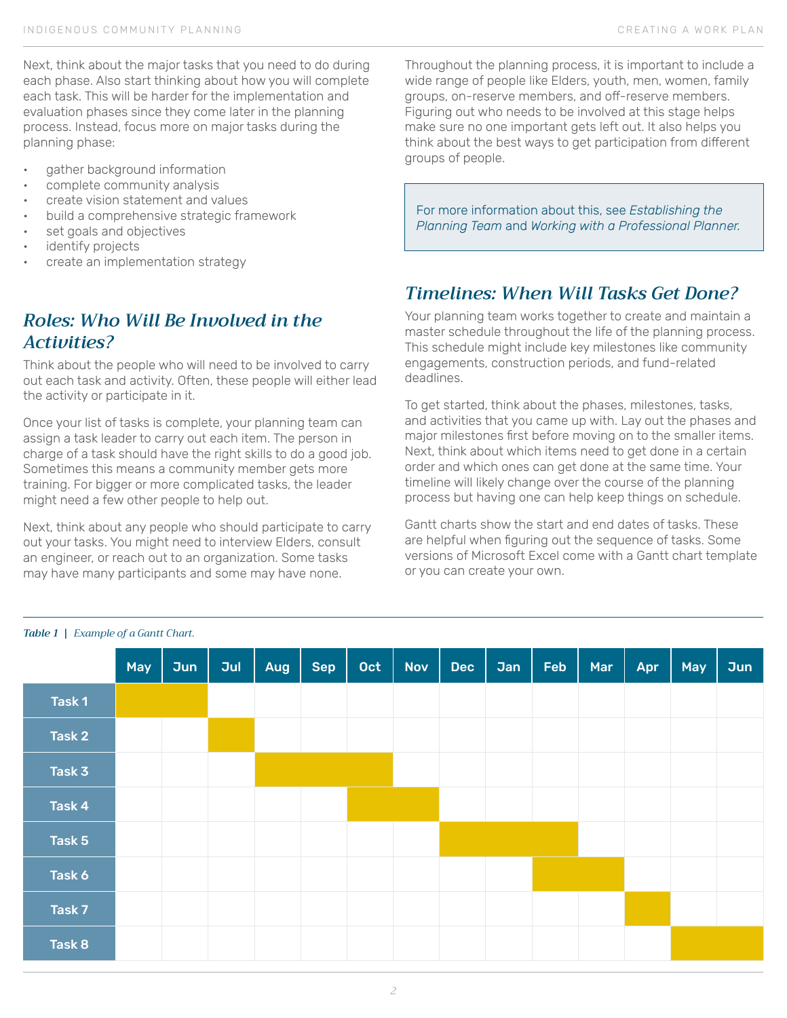Next, think about the major tasks that you need to do during each phase. Also start thinking about how you will complete each task. This will be harder for the implementation and evaluation phases since they come later in the planning process. Instead, focus more on major tasks during the planning phase:

- gather background information
- complete community analysis
- create vision statement and values
- build a comprehensive strategic framework
- set goals and objectives
- identify projects
- create an implementation strategy

# *Roles: Who Will Be Involved in the Activities?*

Think about the people who will need to be involved to carry out each task and activity. Often, these people will either lead the activity or participate in it.

Once your list of tasks is complete, your planning team can assign a task leader to carry out each item. The person in charge of a task should have the right skills to do a good job. Sometimes this means a community member gets more training. For bigger or more complicated tasks, the leader might need a few other people to help out.

Next, think about any people who should participate to carry out your tasks. You might need to interview Elders, consult an engineer, or reach out to an organization. Some tasks may have many participants and some may have none.

Throughout the planning process, it is important to include a wide range of people like Elders, youth, men, women, family groups, on-reserve members, and off-reserve members. Figuring out who needs to be involved at this stage helps make sure no one important gets left out. It also helps you think about the best ways to get participation from different groups of people.

For more information about this, see *Establishing the Planning Team* and *Working with a Professional Planner.*

## *Timelines: When Will Tasks Get Done?*

Your planning team works together to create and maintain a master schedule throughout the life of the planning process. This schedule might include key milestones like community engagements, construction periods, and fund-related deadlines.

To get started, think about the phases, milestones, tasks, and activities that you came up with. Lay out the phases and major milestones first before moving on to the smaller items. Next, think about which items need to get done in a certain order and which ones can get done at the same time. Your timeline will likely change over the course of the planning process but having one can help keep things on schedule.

Gantt charts show the start and end dates of tasks. These are helpful when figuring out the sequence of tasks. Some versions of Microsoft Excel come with a Gantt chart template or you can create your own.



#### *Table 1 | Example of a Gantt Chart.*